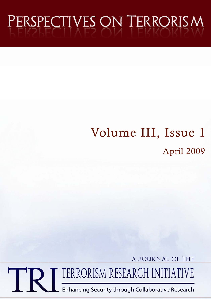# PERSPECTIVES ON TERRORISM

## Volume III, Issue 1 April 2009

A JOURNAL OF THE

TERRORISM RESEARCH INITIATIVE

Enhancing Security through Collaborative Research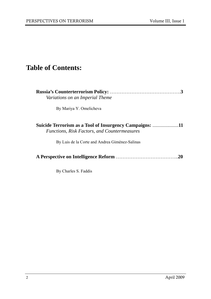### **Table of Contents:**

| Variations on an Imperial Theme                                                                             |     |
|-------------------------------------------------------------------------------------------------------------|-----|
| By Mariya Y. Omelicheva                                                                                     |     |
| Suicide Terrorism as a Tool of Insurgency Campaigns:<br><b>Functions, Risk Factors, and Countermeasures</b> | .11 |
| By Luis de la Corte and Andrea Giménez-Salinas                                                              |     |
|                                                                                                             |     |

By Charles S. Faddis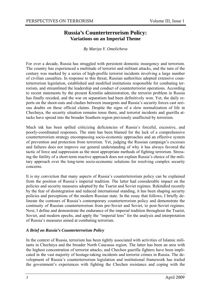#### **Russia's Counterterrorism Policy: Variations on an Imperial Theme**

*By Mariya Y. Omelicheva* 

For over a decade, Russia has struggled with persistent domestic insurgency and terrorism. The country has experienced a multitude of terrorist and militant attacks, and the turn of the century was marked by a series of high-profile terrorist incidents involving a large number of civilian casualties. In response to this threat, Russian authorities adopted extensive counterterrorism legislation, established and modified institutions responsible for combating terrorism, and streamlined the leadership and conduct of counterterrorist operations. According to recent statements by the present Kremlin administration, the terrorist problem in Russia has finally receded, and the war on separatism had been definitively won. Yet, the daily reports on the shoot-outs and clashes between insurgents and Russia's security forces cast serious doubts on these official claims. Despite the signs of a slow normalization of life in Chechnya, the security situation remains tense there, and terrorist incidents and guerilla attacks have spread into the broader Southern region previously unaffected by terrorism.

Much ink has been spilled criticizing deficiencies of Russia's forceful, excessive, and poorly-coordinated responses. The state has been blamed for the lack of a comprehensive counterterrorism strategy encompassing socio-economic approaches and an effective system of prevention and protection from terrorism. Yet, judging the Russian campaign's excesses and failures does not improve our general understanding of why it has always favored the tactic of force and suppression as the most appropriate methods of fighting terrorism. Stressing the futility of a short-term reactive approach does not explain Russia's choice of the military approach over the long-term socio-economic solutions for resolving complex security concerns.

It is my conviction that many aspects of Russia's counterterrorism policy can be explained from the position of Russia's imperial tradition. The latter had considerable impact on the policies and security measures adopted by the Tsarist and Soviet regimes. Rekindled recently by the fear of disintegration and reduced international standing, it has been shaping security policies and perceptions of the modern Russian state. In the essay that follows, I briefly delineate the contours of Russia's contemporary counterterrorism policy and demonstrate the continuity of Russian counterterrorism from pre-Soviet and Soviet, to post-Soviet regimes. Next, I define and demonstrate the endurance of the imperial tradition throughout the Tsarist, Soviet, and modern epochs, and apply the "imperial lens" for the analysis and interpretation of Russia's measures aimed at combating terrorism.

#### *A Brief on Russia's Counterterrorism Policy*

In the context of Russia, terrorism has been tightly associated with activities of Islamic militants in Chechnya and the broader North Caucasus region. The latter has been an area with the highest concentration of terrorist attacks, and Chechen guerilla fighters have been implicated in the vast majority of hostage-taking incidents and terrorist crimes in Russia. The development of Russia's counterterrorism legislation and institutional framework has trailed the government's experiences with fighting the Chechen resistance and coping with the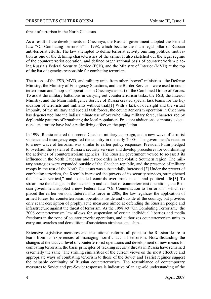threat of terrorism in the North Caucasus.

As a result of the developments in Chechnya, the Russian government adopted the Federal Law "On Combating Terrorism" in 1998, which became the main legal pillar of Russian anti-terrorist efforts. The law attempted to define terrorist activity omitting political motivation as one of the defining characteristics of the crime. It also sketched out the legal regime of the counterterrorist operation, and defined organizational basis of counterterrorism placing Russia's Federal Security Service (FSB), and the Ministry of Interior (MVD) at the top of the list of agencies responsible for combating terrorism.

The troops of the FSB, MVD, and military units from other "power" ministries - the Defense Ministry, the Ministry of Emergency Situations, and the Border Service – were used in counterterrorism and "mop-up" operations in Chechnya as part of the Combined Group of Forces. To assist the military battalions in carrying out counterterrorism tasks, the FSB, the Interior Ministry, and the Main Intelligence Service of Russia created special task teams for the liquidation of terrorists and militants without trial.[1] With a lack of oversight and the virtual impunity of the military and special task forces, the counterterrorism operation in Chechnya has degenerated into the indiscriminate use of overwhelming military force, characterized by deplorable patterns of brutalizing the local population. Frequent abductions, summary executions, and torture have had a radicalizing effect on the population.

In 1999, Russia entered the second Chechen military campaign, and a new wave of terrorist violence and insurgency engulfed the country in the early 2000s. The government's reaction to a new wave of terrorism was similar to earlier policy responses. President Putin pledged to overhaul the system of Russia's security services and develop procedures for coordinating the activities of counterterrorism agencies. The Russian government vowed to re-assert its influence in the North Caucasus and restore order in the volatile Southern region. The military strategies were expanded outside of the Chechen republic, and the presence of military troops in the rest of the North Caucasus was substantially increased.[2] Under the pretext of combating terrorism, the Kremlin increased the powers of its security services, strengthened the "power vertical," and expanded controls over mass media and political life.[3] To streamline the changes in the leadership and conduct of counterterrorist operations, the Russian government adopted a new Federal Law "On Counteraction to Terrorism", which replaced the earlier version. Entered into force in 2006, the law legalizes the application of armed forces for counterterrorism operations inside and outside of the country, but provides only scant description of prophylactic measures aimed at defending the Russian people and infrastructure against the threat of terrorism. As the 1998 act "On Combating Terrorism," the 2006 counterterrorism law allows for suspension of certain individual liberties and media freedoms in the zone of counterterrorist operations, and authorizes counterterrorism units to carry out searches and demolition of suspicious airplanes and ships.

Extensive legislative measures and institutional reforms all point to the Russian desire to learn from its experiences of managing horrific acts of terrorism. Notwithstanding the changes at the tactical level of counterterrorist operations and development of new means for combating terrorism, the basic principles of tackling security threats in Russia have remained essentially the same. The striking similarities of the current views on the most effective and appropriate ways of combating terrorism to those of the Soviet and Tsarist regimes suggest the palpable continuity of Russian counterterrorism. The resemblance of contemporary measures to Soviet and pre-Soviet responses is indicative of an age-old understanding of the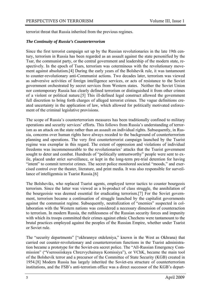terrorist threat that Russia inherited from the previous regimes.

#### *The Continuity of Russia's Counterterrorism*

Since the first terrorist campaign set up by the Russian revolutionaries in the late 19th century, terrorism in Russia has been regarded as an assault against the state personified by the Tsar, the communist party, or the central government and leadership of the modern state, respectively. In the epoch of Tsars, terrorism was coterminous with the revolutionary movement against absolutism.[4] During the early years of the Bolshevik rule, it was tantamount to counter-revolutionary anti-Communist actions. Two decades later, terrorism was viewed as subversive activities of foreign intelligence services, or acts of resistance to the Soviet government orchestrated by secret services from Western states. Neither the Soviet Union nor contemporary Russia has clearly defined terrorism or distinguished it from other crimes of a violent or political nature.[5] This ill-defined legal construct allowed the government full discretion to bring forth charges of alleged terrorist crimes. The vague definitions created uncertainty in the application of law, which allowed for politically motivated enforcement of the criminal legislative provisions.

The scope of Russia's counterterrorism measures has been traditionally confined to military operations and security services' efforts. This follows from Russia's understanding of terrorism as an attack on the state rather than an assault on individual rights. Subsequently, in Russia, concerns over human rights have always receded to the background of counterterrorism planning and operations. The very first counterterrorist campaign launched by the Tsarist regime was exemplar in this regard. The extent of oppression and violations of individual freedoms was incommensurable to the revolutionaries' attacks that the Tsarist government sought to deter and combat. Hundreds of "politically untrustworthy" people were sent to exile, placed under strict surveillance, or kept in the long-term pre-trial detention for having "intent" to commit terrorist crimes. The secret police monitored societal "moods," and exercised control over the theater, literature, and print media. It was also responsible for surveillance of intelligentsia in Tsarist Russia.[6]

The Bolsheviks, who replaced Tsarist agents, employed terror tactics to counter bourgeois terrorism. Since the latter was viewed as a bi-product of class struggle, the annihilation of the bourgeoisie was deemed essential for eradicating terrorism.[7] For the Soviet government, terrorism became a continuation of struggle launched by the capitalist governments against the communist regime. Subsequently, neutralization of "enemies" suspected in collaboration with the Western nations was considered a necessary dimension of counteraction to terrorism. In modern Russia, the ruthlessness of the Russian security forces and impunity with which its troops committed their crimes against ethnic Chechens were tantamount to the brutal practices employed against the peoples of the Russian Empire, whether under Tsarist or Soviet rule.

The "security departments" ["okhrannye otdeleniya," known in the West as Okhrana) that carried out counter-revolutionary and counterterrorism functions in the Tsarist administration became a prototype for the Soviet-era secret police. The "All-Russian Emergency Commission" ("Vserossiiskaya Chrezvychainaya Komissiya"), or VChK, became the main tool of the Bolshevik terror and a precursor of the Committee of State Security (KGB) created in 1954.[8] Modern Russia has largely inherited the Soviet-era structure of counterterrorism institutions, and the FSB's anti-terrorism office was a direct successor of the KGB's depart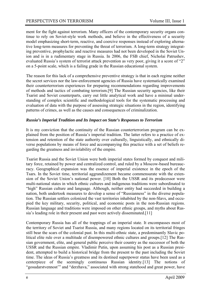ment for the fight against terrorism. Many officers of the contemporary security organs continue to rely on Soviet-style work methods, and believe in the effectiveness of a security model emphasizing short-term, reactive, and coercive responses instead of exploring alternative long-term measures for preventing the threat of terrorism. A long-term strategy integrating preventive, prophylactic and reactive measures had not been developed in the Soviet Union and is in a rudimentary stage in Russia. In 2006, the FSB chief, Nicholai Patrushev, evaluated Russia's system of terrorist attack prevention as very poor, giving it a score of "2" on a 5-point scale, which is a failing grade in the Russian educational system.

The reason for this lack of a comprehensive preventive strategy is that in each regime neither the secret services nor the law-enforcement agencies of Russia have systematically examined their counterterrorism experiences for preparing recommendations regarding improvements of methods and tactics of combating terrorism.[9] The Russian security agencies, like their Tsarist and Soviet counterparts, carry out little analytical work and have a minimal understanding of complex scientific and methodological tools for the systematic processing and evaluation of data with the purpose of assessing strategic situations in the region, identifying patterns of crimes, as well as the causes and consequences of criminalization.

#### *Russia's Imperial Tradition and Its Impact on State's Responses to Terrorism*

It is my conviction that the continuity of the Russian counterterrorism program can be explained from the position of Russia's imperial tradition. The latter refers to a practice of extension and retention of the state authority over culturally, linguistically, and ethnically diverse populations by means of force and accompanying this practice with a set of beliefs regarding the greatness and inviolability of the empire.

Tsarist Russia and the Soviet Union were both imperial states formed by conquest and military force, retained by power and centralized control, and ruled by a Moscow-based bureaucracy. Geographical expansion was the essence of imperial existence in the epoch of the Tsars. In the Soviet time, territorial aggrandizement became commensurate with the extension of the Soviet Union's national power. [10] Both the USSR and its predecessor were multi-national states in which ethnic cultures and indigenous traditions were subordinated to "high" Russian culture and language. Although, neither entity had succeeded in building a nation, both undertook measures to develop a sense of "Russianness" in the diverse population. The Russian settlers colonized the vast territories inhabited by the non-Slavs, and occupied the key military, security, political, and economic posts in the non-Russian regions. Russian language and traditions were imposed on other ethnic groups, and myths about Russia's leading role in their present and past were actively disseminated.[11]

Contemporary Russia has all of the trappings of an imperial state. It encompasses most of the territory of Soviet and Tsarist Russia, and many regions located on its territorial fringes still bear the scars of the colonial past. In this multi-ethnic state, a predominantly Slavic political elite rule over a multitude of disempowered ethnic cultures and groups.[12] The Russian government, elite, and general public perceive their country as the successor of both the USSR and the Russian empire. Vladimir Putin, upon assuming his post as a Russian president, attempted to build a historical bridge from the present to the past including the Soviet time. The ideas of Russia's greatness and its destined superpower status have been used as a centerpiece of the seemingly continuous Russian identity.[13] The notions of "gosudarstvennost'" and "derzhava," associated with strong statehood and great power, have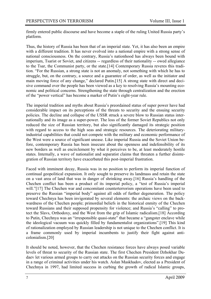firmly entered public discourse and have become a staple of the ruling United Russia party's platform.

Thus, the history of Russia has been that of an imperial state. Yet, it has also been an empire with a different tradition. It has never evolved into a national empire with a strong sense of national consciousness. On the contrary, Russia's nationhood has always been bound with imperium, Tsarist or Soviet, and citizens -- regardless of their nationality -- owed allegiance to the Tsar, the Communist party, or the state.[14] Contemporary Russia reveres this tradition. "For the Russian, a strong state is not an anomaly, not something with which he has to struggle, but, on the contrary, a source and a guarantee of order, as well as the initiator and main moving force of any change," declared Putin.[15] A strong state with direct and decisive command over the people has been viewed as a key to resolving Russia's mounting economic and political concerns. Strengthening the state through centralization and the erection of the "power vertical" has become a marker of Putin's eight-year rule.

The imperial tradition and myths about Russia's preordained status of super power have had considerable impact on its perceptions of the threats to security and the ensuing security policies. The decline and collapse of the USSR struck a severe blow to Russian status internationally and its image as a super-power. The loss of the former Soviet Republics not only reduced the size of Russian territory, but also significantly damaged its strategic position with regard to access to the high seas and strategic resources. The deteriorating militaryindustrial capabilities that could not compete with the military and economic performance of the West were a source of significant unease. Like imperial Russia and the Soviet Union before, contemporary Russia has been insecure about the openness and indefensibility of its new borders as well as encirclement by what it perceives to be, at least moderately hostile states. Internally, a wave of nationalist and separatist claims that threaten a further disintegration of Russian territory have exacerbated this post-imperial frustration.

Faced with imminent decay, Russia was in no position to perform its imperial function of continual geopolitical expansion. It only sought to preserve its landmass and retain the state on a vast area of land that was in danger of shrinking away.[16] Russia's handling of the Chechen conflict has been a product of its imperial policy, a "test of Russia's imperial will."[17] The Chechen war and concomitant counterterrorism operations have been used to preserve the Russian "imperial body" against all odds of further degeneration. The policy toward Chechnya has been invigorated by several elements: the archaic views on the backwardness of the Chechen people; primordial beliefs in the historical enmity of the Chechen toward Russians and their supposed propensity for violence; and Russia's "calling" to protect the Slavs, Orthodoxy, and the West from the grip of Islamic radicalism.[18] According to Putin, Chechnya was an "irresponsible quasi-state" that became a "gangster enclave while the ideological vacuum was quickly filled by fundamentalist organizations".[19] This kind of rationalization employed by Russian leadership is not unique to the Chechen conflict. It is a frame commonly used by imperial incumbents to justify their fight against anticolonialism.[20]

It should be noted, however, that the Chechen resistance forces have always posed variable levels of threat to security of the Russian state. The first Chechen President Dzhokhar Dudaev let various armed groups to carry out attacks on the Russian security forces and engage in a range of criminal activities under his watch. Aslan Maskhadov, elected as a President of Chechnya in 1997, had limited success in curbing the growth of radical Islamic groups,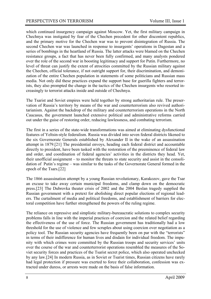which continued insurgency campaign against Moscow. Yet, the first military campaign in Chechnya was instigated by fear of the Chechen precedent for other discontent republics, and the primary motive for the Chechen war was to prevent disintegration of Russia. The second Chechen war was launched in response to insurgents' operations in Dagestan and a series of bombings in the heartland of Russia. The latter attacks were blamed on the Chechen resistance groups, a fact that has never been fully confirmed, and many analysts pondered over the role of the second war in boosting legitimacy and support for Putin. Furthermore, no level of threat can justify the extent of atrocities committed by the Russian military against the Chechen, official tolerance, if not outright support for, their discrimination, and demonization of the entire Chechen population in statements of some politicians and Russian mass media. Not only did these practices expand the support base for guerilla fighters and terrorists, they also prompted the change in the tactics of the Chechen insurgents who resorted increasingly to terrorist attacks inside and outside of Chechnya.

The Tsarist and Soviet empires were held together by strong authoritarian rule. The preservation of Russia's territory by means of the war and counterterrorism also revived authoritarianism. Against the backdrop of the military and counterterrorism operations in the North Caucasus, the government launched extensive political and administrative reforms carried out under the guise of restoring order, reducing lawlessness, and combating terrorism.

The first in a series of the state-wide transformations was aimed at eliminating dysfunctional features of Yeltsin-style federalism. Russia was divided into seven federal districts likened to the six Governorate Generals established by Alexander II in the wake of an assassination attempt in 1879.[21] The presidential envoys, heading each federal district and accountable directly to president, have been tasked with the restoration of the preeminence of federal law and order, and coordination of federal agencies' activities in the districts they head. Yet, their unofficial assignment – to monitor the threats to state security and assist in the consolidation of Putin's regime – was similar to the tasks of the Governorate General formed in the epoch of the Tsars.[22]

The 1866 assassination attempt by a young Russian revolutionary, Karakozov, gave the Tsar an excuse to take away certain municipal freedoms, and clamp down on the democratic press.[23] The Dubrovka theater crisis of 2002 and the 2004 Beslan tragedy supplied the Russian government with a pretext for abolishing direct popular elections of regional leaders. The curtailment of media and political freedoms, and establishment of barriers for electoral competition have further strengthened the powers of the ruling regime.

The reliance on repressive and simplistic military-bureaucratic solutions to complex security problems falls in line with the imperial practices of coercion and the related belief regarding the effectiveness of the use of force. The Russian government has traditionally had a low threshold for the use of violence and few scruples about using coercion over negotiation as a policy tool. The Russian security agencies have frequently been on par with the "terrorists" in terms of their indifference for human lives and disdain for individual freedom. The impunity with which crimes were committed by the Russian troops and security services' units over the course of the war and counterterrorist operations resembled the measures of the Soviet security forces and practices of the Tsarist secret police, which also operated unchecked by any law.[24] In modern Russia, as in Soviet or Tsarist times, Russian citizens have rarely had legal protection if pressure was exerted to force their collaboration, confession was extracted under duress, or arrests were made on the basis of false information.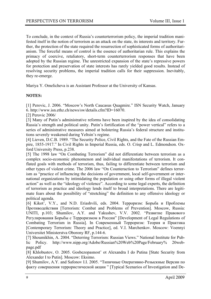To conclude, in the context of Russia's counterterrorism policy, the imperial tradition manifested itself in the notion of terrorism as an attack on the state, its interests and territory. Further, the protection of the state required the resurrection of sophisticated forms of authoritarianism. The forceful means of control is the essence of authoritarian rule. This explains the primacy of coercive, retaliatory, short-term counterterrorism responses that have been adopted by the Russian regime. The unrestricted expansion of the state's repressive powers for protection and preservation of state interests has rarely yielded good results. Instead of resolving security problems, the imperial tradition calls for their suppression. Inevitably, they re-emerge.

Mariya Y. Omelicheva is an Assistant Professor at the University of Kansas.

#### **NOTES:**

[1] Perovic, J. 2006. "Moscow's North Caucasus Quagmire." ISN Security Watch, January 6. http://www.isn.ethz.ch/news/sw/details.cfm?ID=16070.

[2] Perovic 2006/

[3] Many of Putin's administrative reforms have been inspired by the idea of consolidating Russia's strength and political unity. Putin's fortification of the "power vertical" refers to a series of administrative measures aimed at bolstering Russia's federal structure and institutions severely weakened during Yeltsin's regime.

[4] Lieven, D.C.B. 1989. "The Security Police, Civil Rights, and the Fate of the Russian Empire, 1855-1917." In Civil Rights in Imperial Russia, eds. O. Crisp and L. Edmondson. Oxford University Press, p.238.

[5] The 1998 law "On Combating Terrorism" did not differentiate between terrorism as a complex socio-economic phenomenon and individual manifestations of terrorism. It conflated goals with methods of terrorism, thus, failing to differentiate between terrorism and other types of violent crime. The 2006 law "On Counteraction to Terrorism" defines terrorism as "practice of influencing the decisions of government, local self-government or international organizations by intimidating the population or using other forms of illegal violent action" as well as the "ideology of violence". According to some legal experts, the definition of terrorism as practice and ideology lends itself to broad interpretations. There are legitimate fears about the possibility of "stretching" the definition to any offensive ideology or political agenda.

[6] Kikot', V.Y., and N.D. Eriashvili, eds. 2004. Терроризм: Борьба и Проблемы Противодействия [Terrorism: Combat and Problems of Prevention]. Moscow, Russia: UNITI, p.103; Shumilov, A.Y. and Yakushev, V.V. 2002. "Развитие Правового Регулирования Борьбы с Терроризмом в России" [Development of Legal Regulations of Combating Terrorism in Russia]. In Современный Терроризм: Теория и Практика [Contemporary Terrorism: Theory and Practice], ed. V.I. Marchenkov. Moscow: Voennyi Universitet Ministerstva Oborony RF, p.144-6.

[7] Shoumikhin, A. 2004. "Deterring Terrorism: Russian Views." National Institute for Public Policy. http://www.nipp.org/Adobe/Russian%20Web%20Page/February% 20webpage.pdf

[8] Khlobustov, O. 2005. Gosbezopasnost' ot Alexandra I do Putina [State Security from Alexander I to Putin]. Moscow: Eksimo.

[9] Shumilov, A.Y. and Safonov I.I. 2005. "Типичные Оперативно-Розыскные Версии по факту совершения террористической акции " [Typical Scenarios of Investigation and De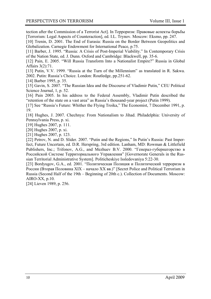tection after the Commission of a Terrorist Act]. In Терроризм: Правовые аспекты борьбы [Terrorism: Legal Aspects of Counteraction], ed. I.L. Trynov. Moscow: Eksmo, pp. 247.

[10] Trenin, D. 2001. The End of Eurasia: Russia on the Border Between Geopolitics and Globalization. Carnegie Endowment for International Peace, p.75.

[11] Barber, J. 1995. "Russia: A Crisis of Post-Imperial Viability." In Contemporary Crisis of the Nation State, ed. J. Dunn. Oxford and Cambridge: Blackwell, pp. 35-6.

[12] Pain, E. 2005. "Will Russia Transform Into a Nationalist Empire?" Russia in Global Affairs 3(2):71.

[13] Putin, V.V. 1999. "Russia at the Turn of the Millennium" as translated in R. Sakwa. 2002. Putin: Russia's Choice. London: Routledge, pp.251-62.

[14] Barber 1995, p. 35.

[15] Gavin, S. 2007. "The Russian Idea and the Discourse of Vladimir Putin," CEU Political Science Journal, 1, p. 52.

[16] Pain 2005. In his address to the Federal Assembly, Vladimir Putin described the "retention of the state on a vast area" as Russia's thousand-year project (Putin 1999).

[17] See "Russia's Future: Whither the Flying Troika," The Economist, 7 December 1991, p. 19.

[18] Hughes, J. 2007. Chechnya: From Nationalism to Jihad. Philadelphia: University of Pennsylvania Press, p. xi.

[19] Hughes 2007, p. 111.

[20] Hughes 2007, p. xi.

[21] Hughes 2007, p. 123.

[22] Petrov, N. and D. Slider. 2007. "Putin and the Regions," In Putin's Russia: Past Imperfect, Future Uncertain, ed. D.R. Herspring, 3rd edition. Lanham, MD: Rowman & Littlefield Publishers, Inc.; Trifonov, A.G., and Mezhuev B.V. 2000. "Генерал-губернаторство в Российской Системе Территориального Управления" [Governorate Generals in the Russian Territorial Administrative System]. Politicheskiye Issledovaniya 5:22-30.

[23] Bordyugov, G.A., ed. 2001. "Политическая Полиция и Политический терроризм в России (Вторая Половина XIX – начало XX вв.)" [Secret Police and Political Terrorism in Russia (Second Half of the 19th – Beginning of 20th c.). Collection of Documents. Moscow: AIRO-XX, p.10.

[24] Lieven 1989, p. 256.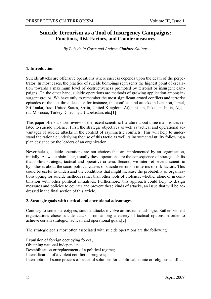#### **Suicide Terrorism as a Tool of Insurgency Campaigns: Functions, Risk Factors, and Countermeasures**

*By Luis de la Corte and Andrea Giménez-Salinas* 

#### **1. Introduction**

Suicide attacks are offensive operations where success depends upon the death of the perpetrator. In most cases, the practice of suicide bombings represents the highest point of escalation towards a maximum level of destructiveness promoted by terrorist or insurgent campaigns. On the other hand, suicide operations are methods of growing application among insurgent groups. We have only to remember the most significant armed conflicts and terrorist episodes of the last three decades: for instance, the conflicts and attacks in Lebanon, Israel, Sri Lanka, Iraq, United States, Spain, United Kingdom, Afghanistan, Pakistan, India, Algeria, Morocco, Turkey, Chechnya, Uzbekistan, etc.[1]

This paper offers a short review of the recent scientific literature about three main issues related to suicide violence. First, the strategic objectives as well as tactical and operational advantages of suicide attacks in the context of asymmetric conflicts. This will help to understand the rationale underlying the use of this tactic as well its instrumental utility following a plan designed by the leaders of an organization.

Nevertheless, suicide operations are not choices that are implemented by an organization, initially. As we explain later, usually these operations are the consequence of strategic shifts that follow strategic, tactical and operative criteria. Second, we interpret several scientific hypotheses about the socio-political causes of suicide terrorism in terms of risk factors. This could be useful to understand the conditions that might increase the probability of organizations opting for suicide methods rather than other tools of violence; whether alone or in combination with other political initiatives. Furthermore, this approach could help to design measures and policies to counter and prevent these kinds of attacks, an issue that will be addressed in the final section of this article.

#### **2. Strategic goals with tactical and operational advantages**

Contrary to some stereotypes, suicide attacks involve an instrumental logic. Rather, violent organizations chose suicide attacks from among a variety of tactical options in order to achieve certain strategic, tactical, and operational goals.[2]

The strategic goals most often associated with suicide operations are the following:

Expulsion of foreign occupying forces;

Obtaining national independence;

Destabilization or replacement of a political regime;

Intensification of a violent conflict in progress;

Interruption of some process of peaceful solutions for a political, ethnic or religious conflict.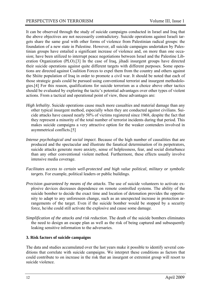It can be observed through the study of suicide campaigns conducted in Israel and Iraq that the above objectives are not necessarily contradictory. Suicide operations against Israeli targets share the same goal with other forms of violence from Palestinian radical groups: the foundation of a new state in Palestine. However, all suicide campaigns undertaken by Palestinian groups have entailed a significant increase of violence and, on more than one occasion; have been utilized to interrupt peace negotiations between Israel and the Palestine Liberation Organization (PLO).[3] In the case of Iraq, jihadi insurgent groups have directed their suicide operations against quite different targets with different purposes. Some operations are directed against Coalition Forces to expel them from the country and others against the Shiite population of Iraq in order to promote a civil war. It should be noted that each of those strategic goals could be pursued using conventional terrorist and insurgent methodologies.[4] For this reason, qualifications for suicide terrorism as a choice above other tactics should be evaluated by exploring the tactic's potential advantages over other types of violent actions. From a tactical and operational point of view, these advantages are:

- *High lethality*. Suicide operations cause much more casualties and material damage than any other typical insurgent method, especially when they are conducted against civilians. Suicide attacks have caused nearly 50% of victims registered since 1968, despite the fact that they represent a minority of the total number of terrorist incidents during that period. This makes suicide campaigns a very attractive option for the weaker contenders involved in asymmetrical conflicts.[5]
- *Intense psychological and social impact*. Because of the high number of causalities that are produced and the spectacular and illustrate the fanatical determination of its perpetrators, suicide attacks generate more anxiety, sense of helplessness, fear, and social disturbance than any other conventional violent method. Furthermore, these effects usually involve intensive media coverage.
- *Facilitates access to certain well-protected and high value political, military or symbolic targets*. For example, political leaders or public buildings.
- *Precision guaranteed by means of the attacks*. The use of suicide volunteers to activate explosive devices decreases dependence on remote controlled systems. The ability of the suicide bomber to decide the exact time and location of detonation provides the opportunity to adapt to any unforeseen change, such as an unexpected increase in protection arrangements of the target. Even if the suicide bomber would be stopped by a security force, he/she could still activate the explosive and cause some damage.
- *Simplification of the attacks and risk reduction*. The death of the suicide bombers eliminates the need to design an escape plan as well as the risk of being captured and subsequently leaking sensitive information to the adversaries.

#### **3. Risk factors of suicide campaigns**

The data and studies accumulated over the last years make it possible to identify several conditions that correlate with suicide campaigns. We interpret these conditions as factors that could contribute to on increase in the risk that an insurgent or extremist group will resort to suicide violence.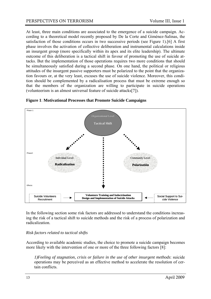At least, three main conditions are associated to the emergence of a suicide campaign. According to a theoretical model recently proposed by De la Corte and Giménez-Salinas, the satisfaction of those conditions occurs in two successive periods (see Figure 1).[6] A first phase involves the activation of collective deliberation and instrumental calculations inside an insurgent group (more specifically within its apex and its elite leadership). The ultimate outcome of this deliberation is a tactical shift in favour of promoting the use of suicide attacks. But the implementation of those operations requires two more conditions that should be simultaneously satisfied during a second phase. On one hand, the political or religious attitudes of the insurgent passive supporters must be polarized to the point that the organization favours or, at the very least, excuses the use of suicide violence. Moreover, this condition should be complemented by a radicalisation process that must be extreme enough so that the members of the organization are willing to participate in suicide operations (volunteerism is an almost universal feature of suicide attacks[7]).



**Figure 1**: **Motivational Processes that Promote Suicide Campaigns**

In the following section some risk factors are addressed to understand the conditions increasing the risk of a tactical shift to suicide methods and the risk of a process of polarization and radicalization.

#### *Risk factors related to tactical shifts*

According to available academic studies, the choice to promote a suicide campaign becomes more likely with the intervention of one or more of the three following factors [8]:

 *1)Feeling of stagnation, crisis or failure in the use of other insurgent methods*: suicide operations may be perceived as an effective method to accelerate the resolution of certain conflicts.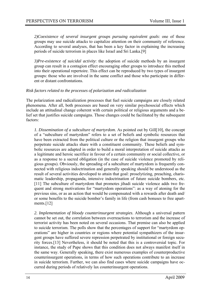*2)Coexistence of several insurgent groups pursuing equivalent goals*: one of those groups may use suicide attacks to capitalize attention on their community of reference. According to several analyses, that has been a key factor in explaining the increasing periods of suicide terrorism in places like Israel and Sri Lanka.[9]

 *3)Pre-existence of suicidal activity*: the adoption of suicide methods by an insurgent group can result in a contagion effect encouraging other groups to introduce this method into their operational repertoire. This effect can be reproduced by two types of insurgent groups: those who are involved in the same conflict and those who participate in different or distant confrontations.

#### *Risk factors related to the processes of polarization and radicalization*

The polarization and radicalization processes that fuel suicide campaigns are closely related phenomena. After all, both processes are based on very similar psychosocial effects which include an attitudinal change coherent with certain political or religious arguments and a belief set that justifies suicide campaigns. Those changes could be facilitated by the subsequent factors:

*1. Dissemination of a subculture of martyrdom*. As pointed out by Gill[10], the concept of a "subculture of martyrdom" refers to a set of beliefs and symbolic resources that have been extracted from the political culture or the religion that insurgent groups who perpetrate suicide attacks share with a constituent community. These beliefs and symbolic resources are adapted in order to build a moral interpretation of suicide attacks as a legitimate and heroic sacrifice in favour of a certain community or social collective, or as a response to a sacred obligation (in the case of suicide violence promoted by religious groups). Obviously, the spreading of a subculture of martyrdom is frequently connected with religious indoctrination and generally speaking should be understood as the result of several activities developed to attain that goal: proselytizing, preaching, charismatic leadership, propaganda, intensive indoctrination of future suicide bombers, etc. [11] The subculture of martyrdom that promotes jihadi suicide violence adds two frequent and strong motivations for "martyrdom operations": as a way of atoning for the previous sins, or as an action that would be compensated with a rewards after death and/ or some benefits to the suicide bomber's family in life (from cash bonuses to free apartments.[12]

*2. Implementation of bloody counterinsurgent strategies*. Although a universal pattern cannot be set out, the correlation between overreactions to terrorism and the increase of terrorist activity has been noted on several occasions. That premise can also be applied to suicide terrorism. The polls show that the percentages of support for "martyrdom operations" are higher in countries or regions where potential sympathizers of the insurgent groups have suffered severe repression perpetrated by institutional or foreign security forces.[13] Nevertheless, it should be noted that this is a controversial topic. For instance, the study of Pape shows that this condition does not always manifest itself in the same way. Generally speaking, there exist numerous examples of counterproductive counterinsurgent operations, in terms of how such operations contribute to an increase in suicide terrorism. Further, we can also find cases where suicide campaigns have occurred during periods of relatively lax counterinsurgent operations.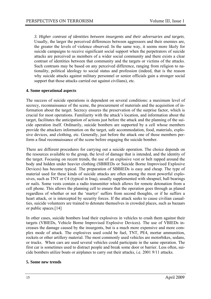*3. Higher contrast of identities between insurgents and their adversaries and targets*. Usually, the larger the perceived differences between aggressors and their enemies are, the greater the levels of violence observed. In the same way, it seems more likely for suicide campaigns to receive significant social support when the perpetrators of suicide attacks are perceived as members of a wider social community and there exists a clear contrast of identities between that community and the targets or victims of the attacks. Such contrasts may be based on any perceived difference, ranging from religion to nationality, political ideology to social status and profession (indeed, that is the reason why suicide attacks against military personnel or senior officials gain a stronger social support that those attacks carried out against civilians), etc.

#### **4. Some operational aspects**

The success of suicide operations is dependent on several conditions: a maximum level of secrecy, reconnaissance of the scene, the procurement of materials and the acquisition of information about the target. Secrecy ensures the preservation of the surprise factor, which is crucial for most operations. Familiarity with the attack's location, and information about the target, facilitates the anticipation of actions just before the attack and the planning of the suicide operation itself. Ordinarily, suicide bombers are supported by a cell whose members provide the attackers information on the target, safe accommodation, food, materials, explosive devices, and clothing, etc. Generally, just before the attack one of those members perform a final reconnaissance of the scene before engaging the suicide bomber.

There are different procedures for carrying out a suicide operation. The choice depends on the resources available to the group, the level of damage that is intended, and the identity of the target. Focusing on recent trends, the use of an explosive vest or belt rapped around the body and hidden under heavier clothing (SBBIEDs or Suicide Borne Improvised Explosive Devices) has become typical. The preparation of SBBIEDs is easy and cheap. The type of material used for these kinds of suicide attacks are often among the most powerful explosives, such as TNT or C4 (typical in Iraq), usually supplemented with shrapnel, ball bearings or nails. Some vests contain a radio transmitter which allows for remote detonation from a cell phone. This allows the planning cell to ensure that the operation goes through as planed regardless of whether or not the 'martyr' suffers from second thoughts, or if he suffers a heart attack, or is intercepted by security forces. If the attack seeks to cause civilian casualties, suicide volunteers are trained to detonate themselves in crowded places, such as bazaars or public spaces.[14]

In other cases, suicide bombers load their explosives in vehicles to crash them against their targets (VBIEDs, Vehicle Borne Improvised Explosive Devices). The use of VBIEDs increases the damage caused by the insurgents, but is a much more expensive and more complex mode of attack. The explosives used could be fuel, TNT, PE4, mortar ammunition, rockets or other artillery material. The most commonly used vehicles are motorbikes, sedans, or trucks. When cars are used several vehicles could participate in the same operation. The first car is sometimes used to distract people and break some door or barrier. Less often, suicide bombers utilize boats or airplanes to carry out their attacks, i.e. 2001 9/11 attacks.

#### **5. Some new trends**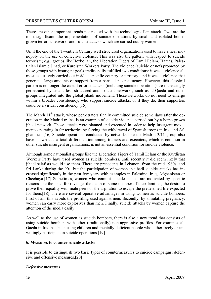There are other important trends not related with the technology of an attack. Two are the most significant: the implementation of suicide operations by small and isolated homegrown terrorist networks and suicide attacks which are carried out by women.

Until the end of the Twentieth Century well structured organizations used to have a near monopoly on the use of collective violence. This was also the pattern with respect to suicide terrorism; e.g., groups like Hezbollah, the Liberation Tigers of Tamil Eelam, Hamas, Palestinian Islamic Jihad, or Kurdistan Workers Party. The violence (suicide or not) promoted by those groups with insurgent goals traditionally fulfilled two conditions: it was a violence almost exclusively carried out inside a specific country or territory, and it was a violence that generated large amounts of support from a particular constituency. However, this classical pattern is no longer the case. Terrorist attacks (including suicide operations) are increasingly perpetrated by small, less structured and isolated networks, such as al-Qaeda and other groups integrated into the global jihadi movement. Those networks do not need to emerge within a broader constituency, who support suicide attacks, or if they do, their supporters could be a virtual constituency.[15]

The March 11<sup>th</sup> attack, whose perpetrators finally committed suicide some days after the operation in the Madrid trains, is an example of suicide violence carried out by a home-grown jihadi network. Those attacks were planned and executed in order to help insurgent movements operating in far territories by forcing the withdrawal of Spanish troops in Iraq and Afghanistan.[16] Suicide operations conducted by networks like the Madrid 3/11 group also have shown that a total differentiation among trainers and executers, which is common in other suicide insurgent organizations, is not an essential condition for suicide violence.

Although some nationalist groups like the Liberation Tigers of Tamil Eelam or the Kurdistan Workers Party have used women as suicide bombers, until recently it did seem likely that jihadi salafists would use them. There are precedents in Lebanon, from the mid 1980s, and Sri Lanka during the 90s, but the participation of women in jihadi suicide attacks has increased significantly in the past few years with examples in Palestine, Iraq, Afghanistan or Chechnya.[17] Sometimes, women who commit suicide attacks are motivated by specific reasons like the need for revenge, the death of some member of their families, the desire to prove their equality with male peers or the aspiration to escape the predestined life expected for them.[18] There are several operative advantages in using women as suicide bombers. First of all, this avoids the profiling used against men. Secondly, by simulating pregnancy, women can carry more explosives than men. Finally, suicide attacks by women capture the attention of the media easily.

As well as the use of women as suicide bombers, there is also a new trend that consists of using suicide bombers with other (traditionally) non-aggressive profiles. For example, al-Qaeda in Iraq has been using children and mentally deficient people who either freely or unwittingly participate in suicide operations.<sup>[19]</sup>

#### **6. Measures to counter suicide attacks**

It is possible to distinguish two basic types of countermeasures to suicide campaigns: defensive and offensive measures.[20]

*Defensive measures*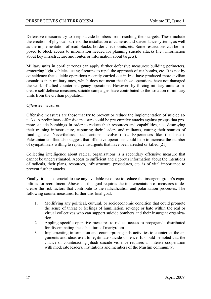Defensive measures try to keep suicide bombers from reaching their targets. These include the erection of physical barriers, the installation of cameras and surveillance systems, as well as the implementation of road blocks, border checkpoints, etc. Some restrictions can be imposed to block access to information needed for planning suicide attacks (i.e., information about key infrastructure and routes or information about targets).

Military units in conflict zones can apply further defensive measures: building perimeters, armouring light vehicles, using firearms to repel the approach of car-bombs, etc. It is not by coincidence that suicide operations recently carried out in Iraq have produced more civilian casualties than military ones, which does not mean that those operations have not damaged the work of allied counterinsurgency operations. However, by forcing military units to increase self-defense measures, suicide campaigns have contributed to the isolation of military units from the civilian population.

#### *Offensive measures*

Offensive measures are those that try to prevent or reduce the implementation of suicide attacks. A preliminary offensive measure could be pre-emptive attacks against groups that promote suicide bombings in order to reduce their resources and capabilities, i.e., destroying their training infrastructure, capturing their leaders and militants, cutting their sources of funding, etc. Nevertheless, such actions involve risks. Experiences like the Israeli-Palestinian conflict also suggest that offensive operations could help to increase the number of sympathizers willing to replace insurgents that have been arrested or killed.[21]

Collecting intelligence about radical organizations is a secondary offensive measure that cannot be underestimated. Access to sufficient and rigorous information about the intentions of radicals, their plans, resources, infrastructure, procedures, etc. is of vital importance to prevent further attacks.

Finally, it is also crucial to use any available resource to reduce the insurgent group's capabilities for recruitment. Above all, this goal requires the implementation of measures to decrease the risk factors that contribute to the radicalization and polarization processes. The following countermeasures, further this final goal.

- 1. Mollifying any political, cultural, or socioeconomic condition that could promote the sense of threat or feelings of humiliation, revenge or hate within the real or virtual collectives who can support suicide bombers and their insurgent organization.
- 2. Appling specific operative measures to reduce access to propaganda distributed for disseminating the subculture of martyrdom.
- 3. Implementing information and counterpropaganda activities to counteract the arguments and ideas used to legitimate suicide violence. It should be noted that the chance of counteracting jihadi suicide violence requires an intense cooperation with moderate leaders, institutions and members of the Muslim community.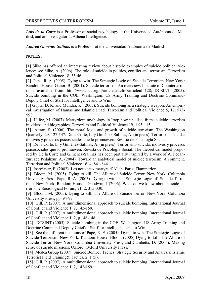*Luis de la Corte* is a Professor of social psychology at the Universidad Autónoma de Madrid, and an investigator at Athena Intelligence.

*Andrea Giménez-Salinas* is a Professor at the Universidad Autónoma de Madrid

#### **NOTES:**

[1] Silke has offered an interesting review about historic examples of suicide political violence; see Silke, A. (2006). The role of suicide in politics, conflict and terrorism. Terrorism and Political Violence 18, 35-46.

[2] Pape, R. A. (2005). Dying to win. The Strategic Logic of Suicide Terrorism. New York: Random House; Ganor, B. (2001). Suicide terrorism: An overview. Institute of Counterterrorism. available from: http://www.ict.org.il/articledet.cfm?articleid=128; DCSINT (2005). Suicide bombing in the COE. Washington: US Army Training and Doctrine Command-Deputy Chief of Staff for Intelligence and to Win.

[3] Gupta, D. K. and Mundra, K. (2005). Suicide bombing as a strategic weapon. An empirical investigation of Hamas and Islamic Jihad. Terrorism and Political Violence 5, 17, 573- 598.

[4] Hafez, M. (2007). Martyrdom mythology in Iraq: how jihadists frame suicide terrorism in videos and biographies. Terrorism and Political Violence 19, 1 95-115.

[5] Attran, S. (2006). The moral logic and growth of suicide terrorism. The Washington Quarterly, 29, 127-147. De la Corte, L y Giménez-Salinas, A. (in press). Terrorismo suicida: motivos y procesos psicosociales que lo promueven. Revista de Psicología Social.

[6] De la Corte, L y Giménez-Salinas, A. (in press). Terrorismo suicida: motivos y procesos psicosociales que lo promueven. Revista de Psicología Social. The theoretical model proposed by De la Corte and Giménez-Salinas has been partially inspired by a work of A. Pedahzur; see Pedahzur, A. (2004). Toward an analytical model of suicide terrorism. A comment. Terrorism and Political Violence 16, 4, 841-844.

[7] Josrojavar, F. (2002). Les nouveaux martyrs d´Allah. Paris: Flammarion.

[8] Bloom, M. (2005). Dying to kill. The Allure of Suicide Terror. New York: Columbia University Press; Pape, R. A. (2005). Dying to win. The Strategic Logic of Suicide Terrorism. New York: Random House; Goodwin, J (2006). What do we know about suicide terrorism? Sociological Forum, 21, 2, 315-330.

[9] Bloom, M. (2005). Dying to kill. The Allure of Suicide Terror. New York: Columbia University Press, pp. 94-97

[10] Gill, P. (2007). A multidimensional approach to suicide bombing. International Journal of Conflict and Violence 1, 2, 142-159.

[11] Gill, P. (2007). A multidimensional approach to suicide bombing. International Journal of Conflict and Violence 1, 2, p 146-148.

[12] DCSINT (2005). Suicide bombing in the COE. Washington: US Army Training and Doctrine Command-Deputy Chief of Staff for Intelligence and to Win.

[13] See the different positions of Pape, R. E. (2005). Dying to win. The Strategic Logic of Suicide Terrorism. New York: Random House; Bloom (2005) Dying to kill. The Allure of Suicide Terror. New York: Columbia University Press, and Gambetta, D. (2006). Making sense of suicide missions. Oxford: Oxford University Press.

[14] Medea Group (2007). Suicide Bomber Tactics. Strategic Security and Analysis: Islamic Terrorist Field Training& Tactics, 2, 1 (5).

[15] Gill, P. (2007). A multidimensional approach to suicide bombing. International Journal of Conflict and Violence 1, 2, 142-159.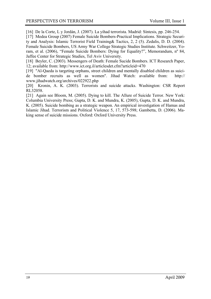[16] De la Corte, L y Jordán, J. (2007). La yihad terrorista. Madrid: Síntesis, pp. 246-254.

[17] Medea Group (2007) Female Suicide Bombers-Practical Implications. Strategic Security and Analysis: Islamic Terrorist Field Training& Tactics, 2, 2 (5). Zedalis, D. D. (2004). Female Suicide Bombers, US Army War College Strategic Studies Institute. Schweitzer, Yoram, et al. (2006), "Female Suicide Bombers: Dying for Equality?", Memorandum, nº 84, Jaffee Center for Strategic Studies, Tel Aviv University.

[18] Beyler, C. (2003). Messengers of Death: Female Sucide Bombers. ICT Research Paper, 12; available from: http://www.ict.org.il/articlesdet.cfm?articleid=470

[19] "Al-Qaeda is targeting orphans, street children and mentally disabled children as suicide bomber recruits as well as women". Jihad Watch: available from: http:// www.jihadwatch.org/archives/022922.php

[20] Kronin, A. K. (2003). Terrorists and suicide attacks. Washington: CSR Report RL32058.

[21] Again see Bloom, M. (2005). Dying to kill. The Allure of Suicide Terror. New York: Columbia University Press; Gupta, D. K. and Mundra, K. (2005), Gupta, D. K. and Mundra, K. (2005). Suicide bombing as a strategic weapon. An empirical investigation of Hamas and Islamic Jihad. Terrorism and Political Violence 5, 17, 573-598; Gambetta, D. (2006). Making sense of suicide missions. Oxford: Oxford University Press.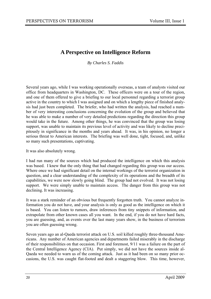#### **A Perspective on Intelligence Reform**

*By Charles S. Faddis* 

Several years ago, while I was working operationally overseas, a team of analysts visited our office from headquarters in Washington, DC. These officers were on a tour of the region, and one of them offered to give a briefing to our local personnel regarding a terrorist group active in the country to which I was assigned and on which a lengthy piece of finished analysis had just been completed. The briefer, who had written the analysis, had reached a number of very interesting conclusions concerning the evolution of the group and believed that he was able to make a number of very detailed predictions regarding the direction this group would take in the future. Among other things, he was convinced that the group was losing support, was unable to maintain its previous level of activity and was likely to decline precipitously in significance in the months and years ahead. It was, in his opinion, no longer a serious threat to American interests. The briefing was well done, tight, focused, and, unlike so many such presentations, captivating.

It was also absolutely wrong.

I had run many of the sources which had produced the intelligence on which this analysis was based. I knew that the only thing that had changed regarding this group was our access. Where once we had significant detail on the internal workings of the terrorist organization in question, and a clear understanding of the complexity of its operations and the breadth of its capabilities, we were now slowly going blind. The group had not evolved. It was not losing support. We were simply unable to maintain access. The danger from this group was not declining. It was increasing.

It was a stark reminder of an obvious but frequently forgotten truth. You cannot analyze information you do not have, and your analysis is only as good as the intelligence on which it is based. You can listen to rumors, draw inferences from tiny snippets of information, and extrapolate from other known cases all you want. In the end, if you do not have hard facts, you are guessing, and, as events over the last many years show, in the business of terrorism you are often guessing wrong.

Seven years ago an al-Qaeda terrorist attack on U.S. soil killed roughly three-thousand Americans. Any number of American agencies and departments failed miserably in the discharge of their responsibilities on that occasion. First and foremost, 9/11 was a failure on the part of the Central Intelligence Agency (CIA). Put simply, we did not have the sources inside al-Qaeda we needed to warn us of the coming attack. Just as it had been on so many prior occasions, the U.S. was caught flat-footed and dealt a staggering blow. This time, however,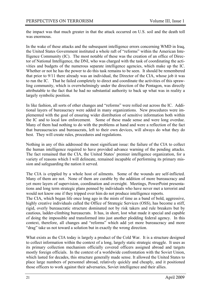the impact was that much greater in that the attack occurred on U.S. soil and the death toll was enormous.

In the wake of these attacks and the subsequent intelligence errors concerning WMD in Iraq, the United States Government instituted a whole raft of "reforms" within the American Intelligence Community (IC). The most notable of these was the creation of an office of Director of National Intelligence, the DNI, who was charged with the task of coordinating the activities and budgets of the numerous separate intelligence agencies, which make up the IC. Whether or not he has the power to do this task remains to be seen. It should be remembered that prior to 9/11 there already was an individual, the Director of the CIA, whose job it was to run the IC. That he failed completely to direct and coordinate the activities of this sprawling community, which is overwhelmingly under the direction of the Pentagon, was directly attributable to the fact that he had no substantial authority to back up what was in reality a largely symbolic position.

In like fashion, all sorts of other changes and "reforms" were rolled out across the IC. Additional layers of bureaucracy were added in many organizations. New procedures were implemented with the goal of ensuring wider distribution of sensitive information both within the IC and to local law enforcement. Some of these made sense and were long overdue. Many of them had nothing to do with the problems at hand and were a reflection of the fact that bureaucracies and bureaucrats, left to their own devices, will always do what they do best. They will create rules, procedures and regulations.

Nothing in any of this addressed the most significant issue: the failure of the CIA to collect the human intelligence required to have provided advance warning of the pending attacks. The fact remained that the CIA, the United States' premier intelligence organization, for a variety of reasons which I will delineate, remained incapable of performing its primary mission and safeguarding the nation it served.

The CIA is crippled by a whole host of ailments. Some of the wounds are self-inflicted. Many of them are not. None of them are curable by the addition of more bureaucracy and yet more layers of supervision, coordination and oversight. Meetings, PowerPoint presentations and long term strategic plans penned by individuals who have never met a terrorist and would not know one if they tripped over him do not produce intelligence reports.

The CIA, which began life once long ago in the mists of time as a band of bold, aggressive, highly creative individuals called the Office of Strategic Services (OSS), has become a stiff, rigid, overly bureaucratic structure dominated not by risk takers and rule breakers but by cautious, ladder-climbing bureaucrats. It has, in short, lost what made it special and capable of doing the impossible and transformed into just another plodding federal agency. In this context, therefore, all changes and "reforms" which add yet more bureaucracy and more "drag" take us not toward a solution but in exactly the wrong direction.

What exists as the CIA today is largely a product of the Cold War. It is a structure designed to collect information within the context of a long, largely static strategic struggle. It uses as its primary collection mechanism officially covered officers assigned abroad and targets mostly foreign officials. In the context of a worldwide confrontation with the Soviet Union, which lasted for decades, this structure generally made sense. It allowed the United States to place large numbers of personnel abroad, relatively quickly and cheaply, and it positioned those officers to work against their adversaries, Soviet intelligence and their allies.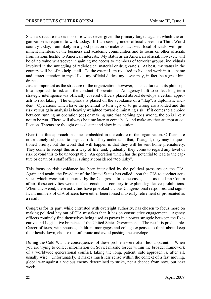Such a structure makes no sense whatsoever given the primary targets against which the organization is required to work today. If I am serving under official cover in a Third World country today, I am likely in a good position to make contact with local officials, with prominent members of the business and academic communities and to focus on other officials from nations hostile to American interests. My status as an American official, however, will be of no value whatsoever in gaining me access to members of terrorist groups, individuals involved in the smuggling of radiological material or drug cartels. At best, my status in the country will be of no help at all. To the extent I am required to live and work in true name and attract attention to myself via my official duties, my cover may, in fact, be a great hindrance.

Just as important as the structure of the organization, however, is its culture and its philosophical approach to risk and the conduct of operations. An agency built to collect long-term strategic intelligence via officially covered officers placed abroad develops a certain approach to risk taking. The emphasis is placed on the avoidance of a "flap", a diplomatic incident. Operations which have the potential to turn ugly or to go wrong are avoided and the risk versus gain analysis is heavily weighted toward eliminating risk. If it comes to a choice between running an operation (op) or making sure that nothing goes wrong, the op is likely not to be run. There will always be time later to come back and make another attempt at collection. Threats are thought of as distant and slow in evolution.

Over time this approach becomes embedded in the culture of the organization. Officers are not routinely subjected to physical risk. They understand that, if caught, they may be questioned briefly, but the worst that will happen is that they will be sent home prematurely. They come to accept this as a way of life, and, gradually, they come to regard any level of risk beyond this to be unacceptable. An operation which has the potential to lead to the capture or death of a staff officer is simply considered "too risky".

This focus on risk avoidance has been intensified by the political pressures on the CIA. Again and again, the President of the United States has called upon the CIA to conduct activities which were not supported by the Congress. In some cases, such as the Iran-Contra affair, these activities were, in fact, conducted contrary to explicit legislative prohibitions. When uncovered, these activities have provoked vicious Congressional responses, and significant numbers of CIA officers have either been forced into early retirement or prosecuted as a result.

Congress for its part, while entrusted with oversight authority, has chosen to focus more on making political hay out of CIA mistakes than it has on constructive engagement. Agency officers routinely find themselves being used as pawns in a power struggle between the Executive and Legislative branches of the United States Government. The result is predictable. Career officers, with spouses, children, mortgages and college expenses to think about keep their heads down, choose the safe route and avoid pushing the envelope.

During the Cold War the consequences of these problem were often less apparent. When you are trying to collect information on Soviet missile forces within the broader framework of a worldwide generational conflict, taking the long, patient, safe approach is, after all, usually wise. Unfortunately, it makes much less sense within the context of a fast moving, global war against a vicious enemy determined to strike, not a decade from now, but next week.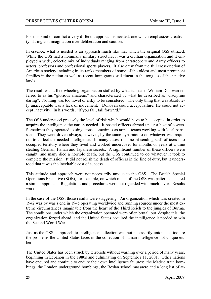For this kind of conflict a very different approach is needed, one which emphasizes creativity, daring and imagination over deliberation and caution.

In essence, what is needed is an approach much like that which the original OSS utilized. While the OSS had a nominally military structure, it was a civilian organization and it employed a wide, eclectic mix of individuals ranging from paratroopers and Army officers to actors, professors and professional sports players. It also drew from the full cross-section of American society including in its ranks members of some of the oldest and most prominent families in the nation as well as recent immigrants still fluent in the tongues of their native lands.

The result was a free-wheeling organization staffed by what its leader William Donovan referred to as his "glorious amateurs" and characterized by what he described as "discipline daring". Nothing was too novel or risky to be considered. The only thing that was absolutely unacceptable was a lack of movement. Donovan could accept failure. He could not accept inactivity. In his words, "If you fall, fall forward."

The OSS understood precisely the level of risk which would have to be accepted in order to acquire the intelligence the nation needed. It posted officers abroad under a host of covers. Sometimes they operated as singletons, sometimes as armed teams working with local partisans. They were driven always, however, by the same dynamic: to do whatever was required to collect the needed intelligence. In many cases, this meant sending staff officers into occupied territory where they lived and worked undercover for months or years at a time stealing German, Italian and Japanese secrets. A significant number of these officers were caught, and many died a horrible death, but the OSS continued to do whatever it took to complete the mission. It did not relish the death of officers in the line of duty, but it understood that it was the inevitable cost of success.

This attitude and approach were not necessarily unique to the OSS. The British Special Operations Executive (SOE), for example, on which much of the OSS was patterned, shared a similar approach. Regulations and procedures were not regarded with much favor. Results were.

In the case of the OSS, those results were staggering. An organization which was created in 1942 was by war's end in 1945 operating worldwide and running sources under the most extreme circumstances imaginable from the heart of the Third Reich to the jungles of Burma. The conditions under which the organization operated were often brutal, but, despite this, the organization forged ahead, and the United States acquired the intelligence it needed to win the Second World War.

Just as the OSS's approach to intelligence collection was not necessarily unique, so too are the problems the United States faces in the collection of human intelligence not unique either.

The United States has been struck by terrorists without warning over a period of many years, beginning in Lebanon in the 1980s and culminating on September 11, 2001. Other nations have endured and continue to endure their own intelligence failures: the Madrid train bombings, the London underground bombings, the Beslan school massacre and a long list of at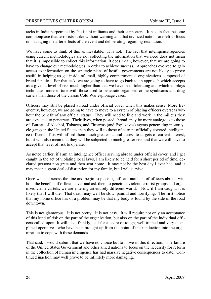tacks in India perpetrated by Pakistani militants and their supporters. It has, in fact, become commonplace that terrorists strike without warning and that civilized nations are left to focus on managing the after effects of the event and deliberating regarding retaliation.

We have come to think of this as inevitable. It is not. The fact that intelligence agencies using current methodologies are not collecting the information that we need does not mean that it is impossible to collect this information. It does mean, however, that we are going to have to change our methodologies in order to achieve success. Approaches evolved to gain access to information on the strategic plans of hostile governments are not likely to prove useful in helping us get inside of small, highly compartmented organizations composed of brutal fanatics. For that task, we are going to have to go back to an approach which accepts as a given a level of risk much higher than that we have been tolerating and which employs techniques more in tune with those used to penetrate organized crime syndicates and drug cartels than those of the classic Cold War espionage cases.

Officers may still be placed abroad under official cover when this makes sense. More frequently, however, we are going to have to move to a system of placing officers overseas without the benefit of any official status. They will need to live and work in the milieus they are expected to penetrate. Their lives, when posted abroad, may be more analogous to those of Bureau of Alcohol, Tobacco, and Firearms (and Explosives) agents penetrating motorcycle gangs in the United States than they will to those of current officially covered intelligence officers. This will afford them much greater natural access to targets of current interest, but it will also mean that they will be subjected to much greater risk and that we will have to accept that level of risk to operate.

As noted earlier, if I am an intelligence officer serving abroad under official cover, and I get caught in the act of violating local laws, I am likely to be held for a short period of time, declared persona non grata and then sent home. It may not be the best day I ever had, and it may mean a great deal of disruption for my family, but I will survive.

Once we step across the line and begin to place significant numbers of officers abroad without the benefits of official cover and ask them to penetrate violent terrorist groups and organized crime cartels, we are entering an entirely different world. Now if I am caught, it is likely that I will die. That death may well be slow, painful and horrifying. The first notice that my home office has of a problem may be that my body is found by the side of the road downtown.

This is not glamorous. It is not pretty. It is not easy. It will require not only an acceptance of this kind of risk on the part of the organization, but also on the part of the individual officers called upon. It will also, frankly, call for a cadre of tough, well-trained and very disciplined operatives, who have been brought up from the point of their induction into the organization to cope with these demands.

That said, I would submit that we have no choice but to move in this direction. The failure of the United States Government and other allied nations to focus on the necessity for reform in the collection of human intelligence has had massive negative consequences to date. Continued inaction may well prove to be infinitely more damaging.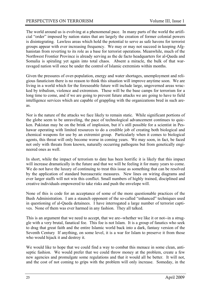The world around us is evolving at a phenomenal pace. In many parts of the world the artificial "order" imposed by nation states that are largely the creation of former colonial powers is disintegrating. Lawless areas which hold the potential to serve as safe havens for terrorist groups appear with ever increasing frequency. We may or may not succeed in keeping Afghanistan from reverting to its role as a base for terrorist operations. Meanwhile, much of the Northwest Frontier Province is already serving as the de facto headquarters for al-Qaeda and Somalia is spiraling yet again into total chaos. Absent a miracle, the bulk of that warravaged nation will once be under the control of Islamic extremists within months.

Given the pressures of over-population, energy and water shortages, unemployment and religious fanaticism there is no reason to think this situation will improve anytime soon. We are living in a world which for the foreseeable future will include large, ungoverned areas wracked by tribalism, violence and extremism. These will be the base camps for terrorism for a long time to come, and if we are going to prevent future attacks we are going to have to field intelligence services which are capable of grappling with the organizations bred in such areas.

Nor is the nature of the attacks we face likely to remain static. While significant portions of the globe seem to be unraveling, the pace of technological advancement continues to quicken. Pakistan may be on the brink of implosion, but it's still possible for a scientist in Peshawar operating with limited resources to do a credible job of creating both biological and chemical weapons for use by an extremist group. Particularly when it comes to biological agents, this threat will only become worse in coming years. We may soon, in fact, be faced not only with threats from known, naturally occurring pathogens but from genetically engineered ones as well.

In short, while the impact of terrorism to date has been horrific it is likely that this impact will increase dramatically in the future and that we will be feeling it for many years to come. We do not have the luxury of continuing to treat this issue as something that can be resolved by the application of standard bureaucratic measures. New lines on wiring diagrams and ever larger staffs will not win this conflict. Small numbers of highly trained, disciplined and creative individuals empowered to take risks and push the envelope will.

None of this is code for an acceptance of some of the more questionable practices of the Bush Administration. I am a staunch opponent of the so-called "enhanced" techniques used in questioning of al-Qaeda detainees. I have interrogated a large number of terrorist captives. None of them was ever harmed in any fashion. They all talked.

This is an argument that we need to accept, that we are--whether we like it or not--in a struggle with a very brutal, fanatical foe. This foe is not Islam. It is a group of fanatics who seek to drag that great faith and the entire Islamic world back into a dark, fantasy version of the Seventh Century If anything, on some level, it is a war for Islam to preserve it from those who would hijack it and destroy it.

We would like to hope that we could find a way to combat this menace in some clean, antiseptic fashion. We would prefer that we could throw money at the problem, create a few new agencies and promulgate some regulations and that it would all be better. It will not, and the cost of not coming to grips with the problem will only increase. Someday, in the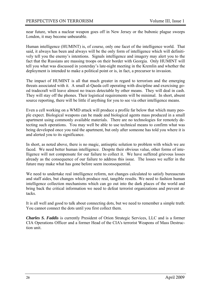near future, when a nuclear weapon goes off in New Jersey or the bubonic plague sweeps London, it may become unbearable.

Human intelligence (HUMINT) is, of course, only one facet of the intelligence world. That said, it always has been and always will be the only form of intelligence which will definitively tell you the enemy's intentions. Signals intelligence and imagery may alert you to the fact that the Russians are massing troops on their border with Georgia. Only HUMINT will tell you what was discussed in yesterday's late-night meeting in the Kremlin and whether the deployment is intended to make a political point or is, in fact, a precursor to invasion.

The impact of HUMINT is all that much greater in regard to terrorism and the emerging threats associated with it. A small al-Qaeda cell operating with discipline and exercising good tradecraft will leave almost no traces detectable by other means. They will deal in cash. They will stay off the phones. Their logistical requirements will be minimal. In short, absent source reporting, there will be little if anything for you to see via other intelligence means.

Even a cell working on a WMD attack will produce a profile far below that which many people expect. Biological weapons can be made and biological agents mass produced in a small apartment using commonly available materials. There are no technologies for remotely detecting such operations. You may well be able to use technical means to confirm what was being developed once you raid the apartment, but only after someone has told you where it is and alerted you to its significance.

In short, as noted above, there is no magic, antiseptic solution to problem with which we are faced. We need better human intelligence. Despite their obvious value, other forms of intelligence will not compensate for our failure to collect it. We have suffered grievous losses already as the consequence of our failure to address this issue. The losses we suffer in the future may make what has gone before seem inconsequential.

We need to undertake real intelligence reform, not changes calculated to satisfy bureaucrats and staff aides, but changes which produce real, tangible results. We need to fashion human intelligence collection mechanisms which can go out into the dark places of the world and bring back the critical information we need to defeat terrorist organizations and prevent attacks.

It is all well and good to talk about connecting dots, but we need to remember a simple truth: You cannot connect the dots until you first collect them.

*Charles S. Faddis* is currently President of Orion Strategic Services, LLC and is a former CIA Operations Officer and a former Head of the CIA's terrorist Weapons of Mass Destruction unit.